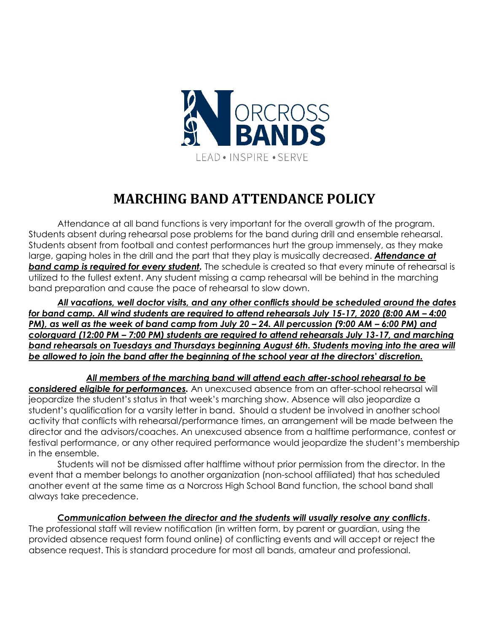

# **MARCHING BAND ATTENDANCE POLICY**

Attendance at all band functions is very important for the overall growth of the program. Students absent during rehearsal pose problems for the band during drill and ensemble rehearsal. Students absent from football and contest performances hurt the group immensely, as they make large, gaping holes in the drill and the part that they play is musically decreased. *Attendance at*  **band camp is required for every student.** The schedule is created so that every minute of rehearsal is utilized to the fullest extent. Any student missing a camp rehearsal will be behind in the marching band preparation and cause the pace of rehearsal to slow down.

*All vacations, well doctor visits, and any other conflicts should be scheduled around the dates for band camp. All wind students are required to attend rehearsals July 15-17, 2020 (8:00 AM – 4:00 PM), as well as the week of band camp from July 20 – 24. All percussion (9:00 AM – 6:00 PM) and colorguard (12:00 PM – 7:00 PM) students are required to attend rehearsals July 13-17, and marching band rehearsals on Tuesdays and Thursdays beginning August 6th. Students moving into the area will be allowed to join the band after the beginning of the school year at the directors' discretion.* 

*All members of the marching band will attend each after-school rehearsal to be considered eligible for performances.* An unexcused absence from an after-school rehearsal will jeopardize the student's status in that week's marching show. Absence will also jeopardize a student's qualification for a varsity letter in band. Should a student be involved in another school activity that conflicts with rehearsal/performance times, an arrangement will be made between the director and the advisors/coaches. An unexcused absence from a halftime performance, contest or festival performance, or any other required performance would jeopardize the student's membership in the ensemble.

Students will not be dismissed after halftime without prior permission from the director. In the event that a member belongs to another organization (non-school affiliated) that has scheduled another event at the same time as a Norcross High School Band function, the school band shall always take precedence.

# *Communication between the director and the students will usually resolve any conflicts***.**

The professional staff will review notification (in written form, by parent or guardian, using the provided absence request form found online) of conflicting events and will accept or reject the absence request. This is standard procedure for most all bands, amateur and professional.